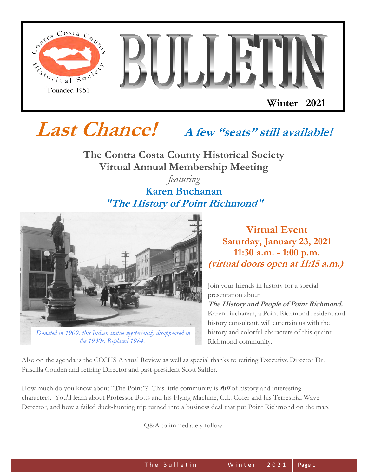

# **Last Chance! A few "seats" still available!**

**The Contra Costa County Historical Society Virtual Annual Membership Meeting**

### *featuring*  **Karen Buchanan "The History of Point Richmond"**



*[Donated in 1909, this Indian statue mysteriously disappeared in](http://r20.rs6.net/tn.jsp?f=00143kq_vjuW17nzsvQS7ieq68orvkdNWJJpjOm7ZES45Yd_o533l3wS13kiVrU6jZ5Rq4D7XDSFHnMURFlTBkBQ_bVLAqs9ZBD8RS7uDT9YkzojlJyfufQ1Xzy8eKRqEa9rrMJl1pvaALwpk44x52enWtlLiQ1W6sU&c=2PhefSTIuunA51krBQ57kiavv08UnIICjsIhr0oK-8XgZOGIsrYgmw==&ch=gSGRyvE05S0F_cIkTeTUWCLbuiZ9mEZfSKGbpASuX2dfABMHw0gJ4A==)  the 1930s. Replaced 1984.*

**Virtual Event Saturday, January 23, 2021 11:30 a.m. - 1:00 p.m. (virtual doors open at 11:15 a.m.)**

Join your friends in history for a special presentation about

**The History and People of Point Richmond.**  Karen Buchanan, a Point Richmond resident and history consultant, will entertain us with the history and colorful characters of this quaint Richmond community.

Also on the agenda is the CCCHS Annual Review as well as special thanks to retiring Executive Director Dr. Priscilla Couden and retiring Director and past-president Scott Saftler.

How much do you know about "The Point"? This little community is **full** of history and interesting characters. You'll learn about Professor Botts and his Flying Machine, C.L. Cofer and his Terrestrial Wave Detector, and how a failed duck-hunting trip turned into a business deal that put Point Richmond on the map!

Q&A to immediately follow.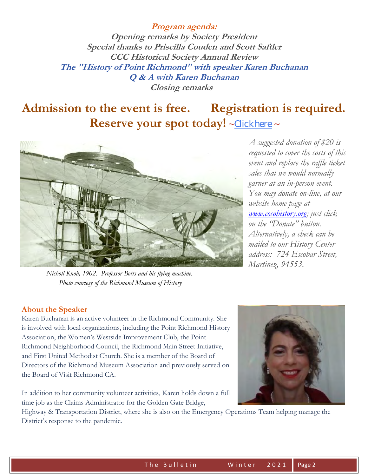**Program agenda: Opening remarks by Society President Special thanks to Priscilla Couden and Scott Saftler CCC Historical Society Annual Review The "History of Point Richmond" with speaker Karen Buchanan Q & A with Karen Buchanan Closing remarks** 

# **Admission to the event is free. Registration is required. Reserve your spot today!** ~ [Click here](http://r20.rs6.net/tn.jsp?f=00143kq_vjuW17nzsvQS7ieq68orvkdNWJJpjOm7ZES45Yd_o533l3wS1Q6v4OKnXumepgTdaCOPehUQ20M925tT5DAjW4QU6JuUB9hz2mwl9d9rDJ_3MGBMTrxZcl-reXJ8aWHvDm1owD3a57xVmaaC1fASamJ7-HwB2u5ZTzJz-YkTxYUADGyFVme-G3-MX_g&c=2PhefSTIuunA51krBQ57kiavv08UnIICjsIhr0oK-8XgZOGIsrYgmw==&ch=gSGRyvE05S0F_cIkTeTUWCLbuiZ9mEZfSKGbpASuX2dfABMHw0gJ4A==) ~



 *Nicholl Knob, 1902. Professor Botts and his flying machine. Photo courtesy of the Richmond Museum of History*

*A suggested donation of \$20 is requested to cover the costs of this event and replace the raffle ticket sales that we would normally garner at an in-person event. You may donate on-line, at our website home page at [www.cocohistory.org;](file:///C:/Users/donal/Documents/CCHIST/Bulletin_Winter-2021/www.cocohistory.org) just click on the "Donate" button. Alternatively, a check can be mailed to our History Center address: 724 Escobar Street, Martinez, 94553.* 

#### **About the Speaker**

Karen Buchanan is an active volunteer in the Richmond Community. She is involved with local organizations, including the Point Richmond History Association, the Women's Westside Improvement Club, the Point Richmond Neighborhood Council, the Richmond Main Street Initiative, and First United Methodist Church. She is a member of the Board of Directors of the Richmond Museum Association and previously served on the Board of Visit Richmond CA.

In addition to her community volunteer activities, Karen holds down a full time job as the Claims Administrator for the Golden Gate Bridge,



Highway & Transportation District, where she is also on the Emergency Operations Team helping manage the District's response to the pandemic.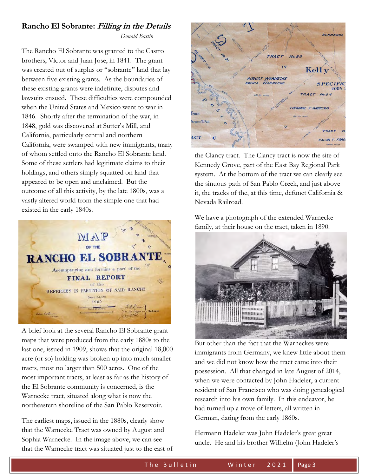## **Rancho El Sobrante: Filling in the Details**

*Donald Bastin*

The Rancho El Sobrante was granted to the Castro brothers, Victor and Juan Jose, in 1841. The grant was created out of surplus or "sobrante" land that lay between five existing grants. As the boundaries of these existing grants were indefinite, disputes and lawsuits ensued. These difficulties were compounded when the United States and Mexico went to war in 1846. Shortly after the termination of the war, in 1848, gold was discovered at Sutter's Mill, and California, particularly central and northern California, were swamped with new immigrants, many of whom settled onto the Rancho El Sobrante land. Some of these settlers had legitimate claims to their holdings, and others simply squatted on land that appeared to be open and unclaimed. But the outcome of all this activity, by the late 1800s, was a vastly altered world from the simple one that had existed in the early 1840s.



A brief look at the several Rancho El Sobrante grant maps that were produced from the early 1880s to the last one, issued in 1909, shows that the original 18,000 acre (or so) holding was broken up into much smaller tracts, most no larger than 500 acres. One of the most important tracts, at least as far as the history of the El Sobrante community is concerned, is the Warnecke tract, situated along what is now the northeastern shoreline of the San Pablo Reservoir.

The earliest maps, issued in the 1880s, clearly show that the Warnecke Tract was owned by August and Sophia Warnecke. In the image above, we can see that the Warnecke tract was situated just to the east of



the Clancy tract. The Clancy tract is now the site of Kennedy Grove, part of the East Bay Regional Park system. At the bottom of the tract we can clearly see the sinuous path of San Pablo Creek, and just above it, the tracks of the, at this time, defunct California & Nevada Railroad.

We have a photograph of the extended Warnecke family, at their house on the tract, taken in 1890.



But other than the fact that the Warneckes were immigrants from Germany, we knew little about them and we did not know how the tract came into their possession. All that changed in late August of 2014, when we were contacted by John Hadeler, a current resident of San Francisco who was doing genealogical research into his own family. In this endeavor, he had turned up a trove of letters, all written in German, dating from the early 1860s.

Hermann Hadeler was John Hadeler's great great uncle. He and his brother Wilhelm (John Hadeler's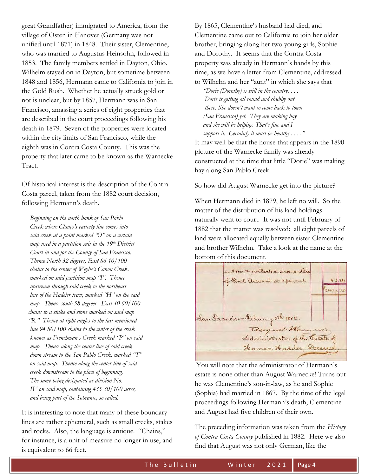great Grandfather) immigrated to America, from the village of Osten in Hanover (Germany was not unified until 1871) in 1848. Their sister, Clementine, who was married to Augustus Heinsohn, followed in 1853. The family members settled in Dayton, Ohio. Wilhelm stayed on in Dayton, but sometime between 1848 and 1856, Hermann came to California to join in the Gold Rush. Whether he actually struck gold or not is unclear, but by 1857, Hermann was in San Francisco, amassing a series of eight properties that are described in the court proceedings following his death in 1879. Seven of the properties were located within the city limits of San Francisco, while the eighth was in Contra Costa County. This was the property that later came to be known as the Warnecke Tract.

Of historical interest is the description of the Contra Costa parcel, taken from the 1882 court decision, following Hermann's death.

 *Beginning on the north bank of San Pablo Creek where Clancy's easterly line comes into said creek at a point marked "O" on a certain map used in a partition suit in the 19th District Court in and for the County of San Francisco. Thence North 32 degrees, East 86 10/100 chains to the center of Weyhe's Canon Creek, marked on said partition map "I". Thence upstream through said creek to the northeast line of the Hadeler tract, marked "H" on the said map. Thence south 58 degrees. East 40 60/100 chains to a stake and stone marked on said map "R." Thence at right angles to the last mentioned line 94 80/100 chains to the center of the creek known as Frenchman's Creek marked "P" on said map. Thence along the center line of said creek down stream to the San Pablo Creek, marked "T" on said map. Thence along the center line of said creek downstream to the place of beginning. The same being designated as division No. IV on said map, containing 435 30/100 acres, and being part of the Sobrante, so called.* 

It is interesting to note that many of these boundary lines are rather ephemeral, such as small creeks, stakes and rocks. Also, the language is antique. "Chains," for instance, is a unit of measure no longer in use, and is equivalent to 66 feet.

By 1865, Clementine's husband had died, and Clementine came out to California to join her older brother, bringing along her two young girls, Sophie and Dorothy. It seems that the Contra Costa property was already in Hermann's hands by this time, as we have a letter from Clementine, addressed to Wilhelm and her "aunt" in which she says that

 *"Dorie (Dorothy) is still in the country. . . . Dorie is getting all round and chubby out there. She doesn't want to come back to town (San Francisco) yet. They are making hay and she will be helping. That's fine and I support it. Certainly it must be healthy . . . ."* 

It may well be that the house that appears in the 1890 picture of the Warnecke family was already constructed at the time that little "Dorie" was making hay along San Pablo Creek.

So how did August Warnecke get into the picture?

When Hermann died in 1879, he left no will. So the matter of the distribution of his land holdings naturally went to court. It was not until February of 1882 that the matter was resolved: all eight parcels of land were allocated equally between sister Clementine and brother Wilhelm. Take a look at the name at the bottom of this document.

on # 108100 collected pince rendition of Timel account at 4 percent 4324 2477.20 San Francisco February 8th 1882. august Warneek Administrator of the Cetate of Herman Hadeler, Deceased

You will note that the administrator of Hermann's estate is none other than August Warnecke! Turns out he was Clementine's son-in-law, as he and Sophie (Sophia) had married in 1867. By the time of the legal proceedings following Hermann's death, Clementine and August had five children of their own.

The preceding information was taken from the *History of Contra Costa County* published in 1882. Here we also find that August was not only German, like the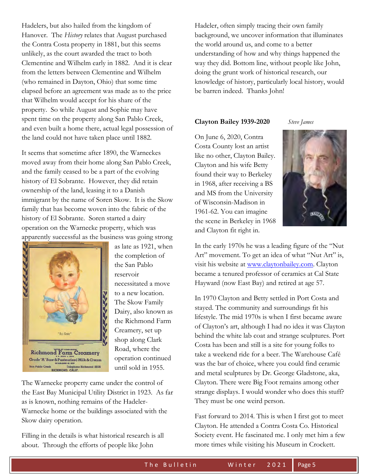Hadelers, but also hailed from the kingdom of Hanover. The *History* relates that August purchased the Contra Costa property in 1881, but this seems unlikely, as the court awarded the tract to both Clementine and Wilhelm early in 1882. And it is clear from the letters between Clementine and Wilhelm (who remained in Dayton, Ohio) that some time elapsed before an agreement was made as to the price that Wilhelm would accept for his share of the property. So while August and Sophie may have spent time on the property along San Pablo Creek, and even built a home there, actual legal possession of the land could not have taken place until 1882.

It seems that sometime after 1890, the Warneckes moved away from their home along San Pablo Creek, and the family ceased to be a part of the evolving history of El Sobrante. However, they did retain ownership of the land, leasing it to a Danish immigrant by the name of Soren Skow. It is the Skow family that has become woven into the fabric of the history of El Sobrante. Soren started a dairy operation on the Warnecke property, which was apparently successful as the business was going strong



as late as 1921, when the completion of the San Pablo reservoir necessitated a move to a new location. The Skow Family Dairy, also known as the Richmond Farm Creamery, set up shop along Clark Road, where the operation continued until sold in 1955.

The Warnecke property came under the control of the East Bay Municipal Utility District in 1923. As far as is known, nothing remains of the Hadeler-Warnecke home or the buildings associated with the Skow dairy operation.

Filling in the details is what historical research is all about. Through the efforts of people like John

Hadeler, often simply tracing their own family background, we uncover information that illuminates the world around us, and come to a better understanding of how and why things happened the way they did. Bottom line, without people like John, doing the grunt work of historical research, our knowledge of history, particularly local history, would be barren indeed. Thanks John!

#### **Clayton Bailey 1939-2020** *Steve James*

On June 6, 2020, Contra Costa County lost an artist like no other, Clayton Bailey. Clayton and his wife Betty found their way to Berkeley in 1968, after receiving a BS and MS from the University of Wisconsin-Madison in 1961-62. You can imagine the scene in Berkeley in 1968 and Clayton fit right in.



In the early 1970s he was a leading figure of the "Nut Art" movement. To get an idea of what "Nut Art" is, visit his website at [www.claytonbailey.com.](www.claytonbailey.com) Clayton became a tenured professor of ceramics at Cal State Hayward (now East Bay) and retired at age 57.

In 1970 Clayton and Betty settled in Port Costa and stayed. The community and surroundings fit his lifestyle. The mid 1970s is when I first became aware of Clayton's art, although I had no idea it was Clayton behind the white lab coat and strange sculptures. Port Costa has been and still is a site for young folks to take a weekend ride for a beer. The Warehouse Café was the bar of choice, where you could find ceramic and metal sculptures by Dr. George Gladstone, aka, Clayton. There were Big Foot remains among other strange displays. I would wonder who does this stuff? They must be one weird person.

Fast forward to 2014. This is when I first got to meet Clayton. He attended a Contra Costa Co. Historical Society event. He fascinated me. I only met him a few more times while visiting his Museum in Crockett.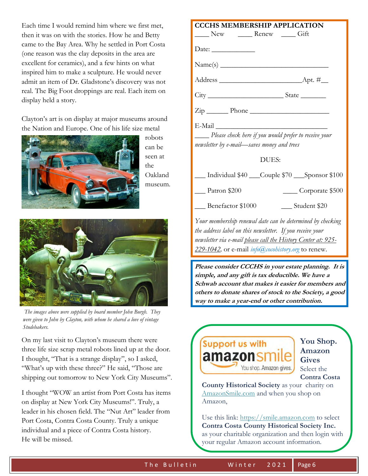Each time I would remind him where we first met, then it was on with the stories. How he and Betty came to the Bay Area. Why he settled in Port Costa (one reason was the clay deposits in the area are excellent for ceramics), and a few hints on what inspired him to make a sculpture. He would never admit an item of Dr. Gladstone's discovery was not real. The Big Foot droppings are real. Each item on display held a story.

Clayton's art is on display at major museums around the Nation and Europe. One of his life size metal



robots can be seen at the Oakland museum.



*The images above were supplied by board member John Burgh. They were given to John by Clayton, with whom he shared a love of vintage Studebakers.* 

On my last visit to Clayton's museum there were three life size scrap metal robots lined up at the door. I thought, "That is a strange display", so I asked, "What's up with these three?" He said, "Those are shipping out tomorrow to New York City Museums".

I thought "WOW an artist from Port Costa has items on display at New York City Museums!". Truly, a leader in his chosen field. The "Nut Art" leader from Port Costa, Contra Costa County. Truly a unique individual and a piece of Contra Costa history. He will be missed.

| New Renew Gift                                            |                                                               |
|-----------------------------------------------------------|---------------------------------------------------------------|
| Date: $\_\_$                                              |                                                               |
|                                                           |                                                               |
|                                                           |                                                               |
|                                                           |                                                               |
| $\overline{\mathrm{Zip}}$ Phone                           |                                                               |
| E-Mail                                                    |                                                               |
| newsletter by e-mail-saves money and trees                | Please check here if you would prefer to receive your         |
|                                                           | DUES:                                                         |
|                                                           | Individual \$40 Couple \$70 Sponsor \$100                     |
| $\frac{Patron \, $200}$                                   | Corporate \$500                                               |
| Benefactor \$1000                                         | ___ Student \$20                                              |
|                                                           | Your membership renewal date can be determined by checking    |
| the address label on this newsletter. If you receive your |                                                               |
|                                                           | newsletter via e-mail please call the History Center at: 925- |
| 229-1042, or e-mail <i>info@cocohistory.org</i> to renew. |                                                               |
|                                                           | Please consider CCCHS in your estate planning. It is          |
| simple, and any gift is tax deductible. We have a         |                                                               |
|                                                           | Schwab account that makes it easier for members and           |
|                                                           | others to donate shares of stock to the Society, a good       |

**CCCHS MEMBERSHIP APPLICATION**



**You Shop. Amazon Gives**  Select the **Contra Costa** 

 **County Historical Society** as your charity on [AmazonSmile.com](http://r20.rs6.net/tn.jsp?f=00143kq_vjuW17nzsvQS7ieq68orvkdNWJJpjOm7ZES45Yd_o533l3wS1Q6v4OKnXumGEaMB7MtNZv20fOjnAL7x7szZpAX8wwiYVqGSrKNGtiqpFcSf7KR6WANoqAcP3K0stI8kqRUfA7q0r6eVY3EizRbJeInz2VP7U5KirWXcyw=&c=2PhefSTIuunA51krBQ57kiavv08UnIICjsIhr0oK-8XgZOGIsrYgmw==&ch=gSGRyvE05S0F_cIkTeTUWCLbuiZ9mEZfSKGbpASuX2dfABMHw0gJ4A==) and when you shop on Amazon,

 Use this link: [https://smile.amazon.com](http://r20.rs6.net/tn.jsp?f=00143kq_vjuW17nzsvQS7ieq68orvkdNWJJpjOm7ZES45Yd_o533l3wS1Q6v4OKnXumGEaMB7MtNZv20fOjnAL7x7szZpAX8wwiYVqGSrKNGtiqpFcSf7KR6WANoqAcP3K0stI8kqRUfA7q0r6eVY3EizRbJeInz2VP7U5KirWXcyw=&c=2PhefSTIuunA51krBQ57kiavv08UnIICjsIhr0oK-8XgZOGIsrYgmw==&ch=gSGRyvE05S0F_cIkTeTUWCLbuiZ9mEZfSKGbpASuX2dfABMHw0gJ4A==) to select **Contra Costa County Historical Society Inc.** as your charitable organization and then login with your regular Amazon account information.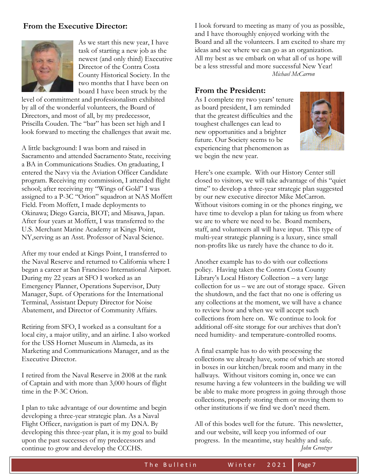#### **From the Executive Director:**



As we start this new year, I have task of starting a new job as the newest (and only third) Executive Director of the Contra Costa County Historical Society. In the two months that I have been on board I have been struck by the

level of commitment and professionalism exhibited by all of the wonderful volunteers, the Board of Directors, and most of all, by my predecessor, Priscilla Couden. The "bar" has been set high and I look forward to meeting the challenges that await me.

A little background: I was born and raised in Sacramento and attended Sacramento State, receiving a BA in Communications Studies. On graduating, I entered the Navy via the Aviation Officer Candidate program. Receiving my commission, I attended flight school; after receiving my "Wings of Gold" I was assigned to a P-3C "Orion" squadron at NAS Moffett Field. From Moffett, I made deployments to Okinawa; Diego Garcia, BIOT; and Misawa, Japan. After four years at Moffett, I was transferred to the U.S. Merchant Marine Academy at Kings Point, NY,serving as an Asst. Professor of Naval Science.

After my tour ended at Kings Point, I transferred to the Naval Reserve and returned to California where I began a career at San Francisco International Airport. During my 22 years at SFO I worked as an Emergency Planner, Operations Supervisor, Duty Manager, Supt. of Operations for the International Terminal, Assistant Deputy Director for Noise Abatement, and Director of Community Affairs.

Retiring from SFO, I worked as a consultant for a local city, a major utility, and an airline. I also worked for the USS Hornet Museum in Alameda, as its Marketing and Communications Manager, and as the Executive Director.

I retired from the Naval Reserve in 2008 at the rank of Captain and with more than 3,000 hours of flight time in the P-3C Orion.

I plan to take advantage of our downtime and begin developing a three-year strategic plan. As a Naval Flight Officer, navigation is part of my DNA. By developing this three-year plan, it is my goal to build upon the past successes of my predecessors and continue to grow and develop the CCCHS.

I look forward to meeting as many of you as possible, and I have thoroughly enjoyed working with the Board and all the volunteers. I am excited to share my ideas and see where we can go as an organization. All my best as we embark on what all of us hope will be a less stressful and more successful New Year! *Michael McCarron* 

#### **From the President:**

As I complete my two years' tenure as board president, I am reminded that the greatest difficulties and the toughest challenges can lead to new opportunities and a brighter future. Our Society seems to be experiencing that phenomenon as we begin the new year.



Here's one example. With our History Center still closed to visitors, we will take advantage of this "quiet time" to develop a three-year strategic plan suggested by our new executive director Mike McCarron. Without visitors coming in or the phones ringing, we have time to develop a plan for taking us from where we are to where we need to be. Board members, staff, and volunteers all will have input. This type of multi-year strategic planning is a luxury, since small non-profits like us rarely have the chance to do it.

Another example has to do with our collections policy. Having taken the Contra Costa County Library's Local History Collection – a very large collection for us – we are out of storage space. Given the shutdown, and the fact that no one is offering us any collections at the moment, we will have a chance to review how and when we will accept such collections from here on. We continue to look for additional off-site storage for our archives that don't need humidity- and temperature-controlled rooms.

A final example has to do with processing the collections we already have, some of which are stored in boxes in our kitchen/break room and many in the hallways. Without visitors coming in, once we can resume having a few volunteers in the building we will be able to make more progress in going through those collections, properly storing them or moving them to other institutions if we find we don't need them.

All of this bodes well for the future. This newsletter, and our website, will keep you informed of our progress. In the meantime, stay healthy and safe. *John Greotzer*